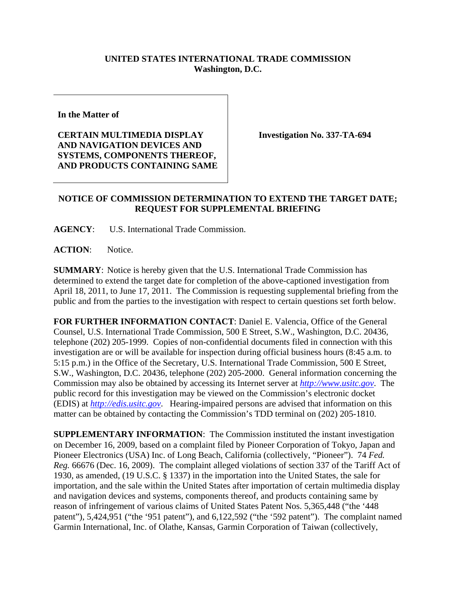## **UNITED STATES INTERNATIONAL TRADE COMMISSION Washington, D.C.**

**In the Matter of** 

**CERTAIN MULTIMEDIA DISPLAY AND NAVIGATION DEVICES AND SYSTEMS, COMPONENTS THEREOF, AND PRODUCTS CONTAINING SAME**  **Investigation No. 337-TA-694** 

## **NOTICE OF COMMISSION DETERMINATION TO EXTEND THE TARGET DATE; REQUEST FOR SUPPLEMENTAL BRIEFING**

**AGENCY**: U.S. International Trade Commission.

ACTION: Notice.

**SUMMARY**: Notice is hereby given that the U.S. International Trade Commission has determined to extend the target date for completion of the above-captioned investigation from April 18, 2011, to June 17, 2011. The Commission is requesting supplemental briefing from the public and from the parties to the investigation with respect to certain questions set forth below.

**FOR FURTHER INFORMATION CONTACT**: Daniel E. Valencia, Office of the General Counsel, U.S. International Trade Commission, 500 E Street, S.W., Washington, D.C. 20436, telephone (202) 205-1999. Copies of non-confidential documents filed in connection with this investigation are or will be available for inspection during official business hours (8:45 a.m. to 5:15 p.m.) in the Office of the Secretary, U.S. International Trade Commission, 500 E Street, S.W., Washington, D.C. 20436, telephone (202) 205-2000. General information concerning the Commission may also be obtained by accessing its Internet server at *http://www.usitc.gov*. The public record for this investigation may be viewed on the Commission's electronic docket (EDIS) at *http://edis.usitc.gov*. Hearing-impaired persons are advised that information on this matter can be obtained by contacting the Commission's TDD terminal on (202) 205-1810.

**SUPPLEMENTARY INFORMATION**: The Commission instituted the instant investigation on December 16, 2009, based on a complaint filed by Pioneer Corporation of Tokyo, Japan and Pioneer Electronics (USA) Inc. of Long Beach, California (collectively, "Pioneer"). 74 *Fed. Reg.* 66676 (Dec. 16, 2009). The complaint alleged violations of section 337 of the Tariff Act of 1930, as amended, (19 U.S.C. § 1337) in the importation into the United States, the sale for importation, and the sale within the United States after importation of certain multimedia display and navigation devices and systems, components thereof, and products containing same by reason of infringement of various claims of United States Patent Nos. 5,365,448 ("the '448 patent"), 5,424,951 ("the '951 patent"), and 6,122,592 ("the '592 patent"). The complaint named Garmin International, Inc. of Olathe, Kansas, Garmin Corporation of Taiwan (collectively,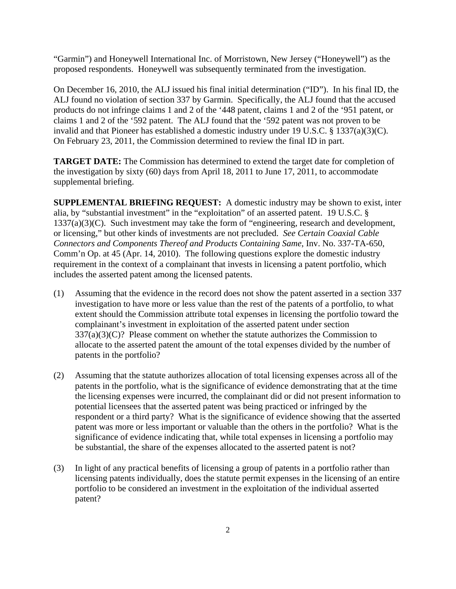"Garmin") and Honeywell International Inc. of Morristown, New Jersey ("Honeywell") as the proposed respondents. Honeywell was subsequently terminated from the investigation.

On December 16, 2010, the ALJ issued his final initial determination ("ID"). In his final ID, the ALJ found no violation of section 337 by Garmin. Specifically, the ALJ found that the accused products do not infringe claims 1 and 2 of the '448 patent, claims 1 and 2 of the '951 patent, or claims 1 and 2 of the '592 patent. The ALJ found that the '592 patent was not proven to be invalid and that Pioneer has established a domestic industry under 19 U.S.C. § 1337(a)(3)(C). On February 23, 2011, the Commission determined to review the final ID in part.

**TARGET DATE:** The Commission has determined to extend the target date for completion of the investigation by sixty (60) days from April 18, 2011 to June 17, 2011, to accommodate supplemental briefing.

**SUPPLEMENTAL BRIEFING REQUEST:** A domestic industry may be shown to exist, inter alia, by "substantial investment" in the "exploitation" of an asserted patent. 19 U.S.C. § 1337(a)(3)(C). Such investment may take the form of "engineering, research and development, or licensing," but other kinds of investments are not precluded. *See Certain Coaxial Cable Connectors and Components Thereof and Products Containing Same*, Inv. No. 337-TA-650, Comm'n Op. at 45 (Apr. 14, 2010). The following questions explore the domestic industry requirement in the context of a complainant that invests in licensing a patent portfolio, which includes the asserted patent among the licensed patents.

- (1) Assuming that the evidence in the record does not show the patent asserted in a section 337 investigation to have more or less value than the rest of the patents of a portfolio, to what extent should the Commission attribute total expenses in licensing the portfolio toward the complainant's investment in exploitation of the asserted patent under section  $337(a)(3)(C)$ ? Please comment on whether the statute authorizes the Commission to allocate to the asserted patent the amount of the total expenses divided by the number of patents in the portfolio?
- (2) Assuming that the statute authorizes allocation of total licensing expenses across all of the patents in the portfolio, what is the significance of evidence demonstrating that at the time the licensing expenses were incurred, the complainant did or did not present information to potential licensees that the asserted patent was being practiced or infringed by the respondent or a third party? What is the significance of evidence showing that the asserted patent was more or less important or valuable than the others in the portfolio? What is the significance of evidence indicating that, while total expenses in licensing a portfolio may be substantial, the share of the expenses allocated to the asserted patent is not?
- (3) In light of any practical benefits of licensing a group of patents in a portfolio rather than licensing patents individually, does the statute permit expenses in the licensing of an entire portfolio to be considered an investment in the exploitation of the individual asserted patent?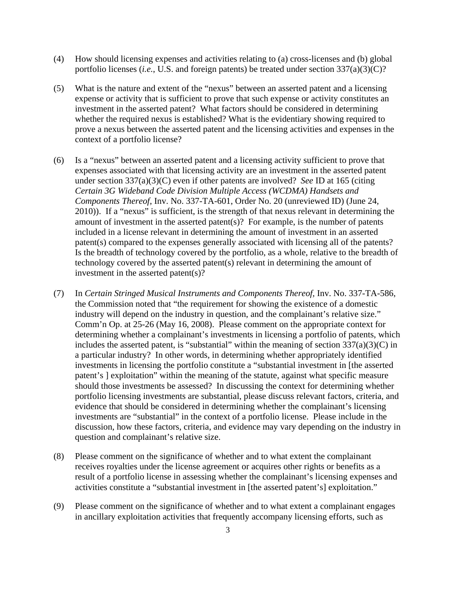- (4) How should licensing expenses and activities relating to (a) cross-licenses and (b) global portfolio licenses (*i.e.*, U.S. and foreign patents) be treated under section 337(a)(3)(C)?
- (5) What is the nature and extent of the "nexus" between an asserted patent and a licensing expense or activity that is sufficient to prove that such expense or activity constitutes an investment in the asserted patent? What factors should be considered in determining whether the required nexus is established? What is the evidentiary showing required to prove a nexus between the asserted patent and the licensing activities and expenses in the context of a portfolio license?
- (6) Is a "nexus" between an asserted patent and a licensing activity sufficient to prove that expenses associated with that licensing activity are an investment in the asserted patent under section 337(a)(3)(C) even if other patents are involved? *See* ID at 165 (citing *Certain 3G Wideband Code Division Multiple Access (WCDMA) Handsets and Components Thereof*, Inv. No. 337-TA-601, Order No. 20 (unreviewed ID) (June 24, 2010)). If a "nexus" is sufficient, is the strength of that nexus relevant in determining the amount of investment in the asserted patent(s)? For example, is the number of patents included in a license relevant in determining the amount of investment in an asserted patent(s) compared to the expenses generally associated with licensing all of the patents? Is the breadth of technology covered by the portfolio, as a whole, relative to the breadth of technology covered by the asserted patent(s) relevant in determining the amount of investment in the asserted patent(s)?
- (7) In *Certain Stringed Musical Instruments and Components Thereof,* Inv. No. 337-TA-586, the Commission noted that "the requirement for showing the existence of a domestic industry will depend on the industry in question, and the complainant's relative size." Comm'n Op. at 25-26 (May 16, 2008). Please comment on the appropriate context for determining whether a complainant's investments in licensing a portfolio of patents, which includes the asserted patent, is "substantial" within the meaning of section  $337(a)(3)(C)$  in a particular industry? In other words, in determining whether appropriately identified investments in licensing the portfolio constitute a "substantial investment in [the asserted patent's ] exploitation" within the meaning of the statute, against what specific measure should those investments be assessed? In discussing the context for determining whether portfolio licensing investments are substantial, please discuss relevant factors, criteria, and evidence that should be considered in determining whether the complainant's licensing investments are "substantial" in the context of a portfolio license. Please include in the discussion, how these factors, criteria, and evidence may vary depending on the industry in question and complainant's relative size.
- (8) Please comment on the significance of whether and to what extent the complainant receives royalties under the license agreement or acquires other rights or benefits as a result of a portfolio license in assessing whether the complainant's licensing expenses and activities constitute a "substantial investment in [the asserted patent's] exploitation."
- (9) Please comment on the significance of whether and to what extent a complainant engages in ancillary exploitation activities that frequently accompany licensing efforts, such as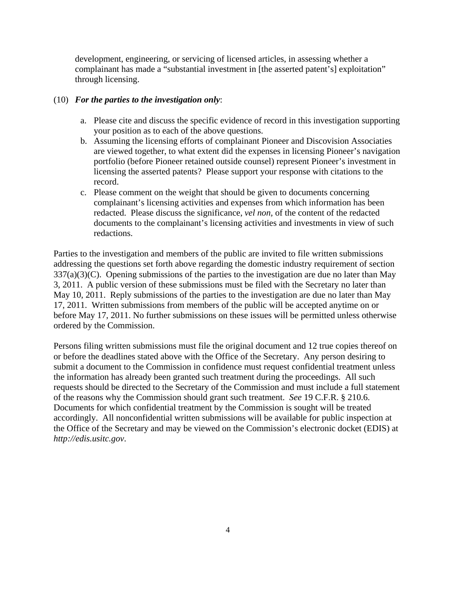development, engineering, or servicing of licensed articles, in assessing whether a complainant has made a "substantial investment in [the asserted patent's] exploitation" through licensing.

## (10) *For the parties to the investigation only*:

- a. Please cite and discuss the specific evidence of record in this investigation supporting your position as to each of the above questions.
- b. Assuming the licensing efforts of complainant Pioneer and Discovision Associaties are viewed together, to what extent did the expenses in licensing Pioneer's navigation portfolio (before Pioneer retained outside counsel) represent Pioneer's investment in licensing the asserted patents? Please support your response with citations to the record.
- c. Please comment on the weight that should be given to documents concerning complainant's licensing activities and expenses from which information has been redacted. Please discuss the significance, *vel non,* of the content of the redacted documents to the complainant's licensing activities and investments in view of such redactions.

Parties to the investigation and members of the public are invited to file written submissions addressing the questions set forth above regarding the domestic industry requirement of section  $337(a)(3)(C)$ . Opening submissions of the parties to the investigation are due no later than May 3, 2011. A public version of these submissions must be filed with the Secretary no later than May 10, 2011. Reply submissions of the parties to the investigation are due no later than May 17, 2011. Written submissions from members of the public will be accepted anytime on or before May 17, 2011. No further submissions on these issues will be permitted unless otherwise ordered by the Commission.

Persons filing written submissions must file the original document and 12 true copies thereof on or before the deadlines stated above with the Office of the Secretary. Any person desiring to submit a document to the Commission in confidence must request confidential treatment unless the information has already been granted such treatment during the proceedings. All such requests should be directed to the Secretary of the Commission and must include a full statement of the reasons why the Commission should grant such treatment. *See* 19 C.F.R. § 210.6. Documents for which confidential treatment by the Commission is sought will be treated accordingly. All nonconfidential written submissions will be available for public inspection at the Office of the Secretary and may be viewed on the Commission's electronic docket (EDIS) at *http://edis.usitc.gov*.